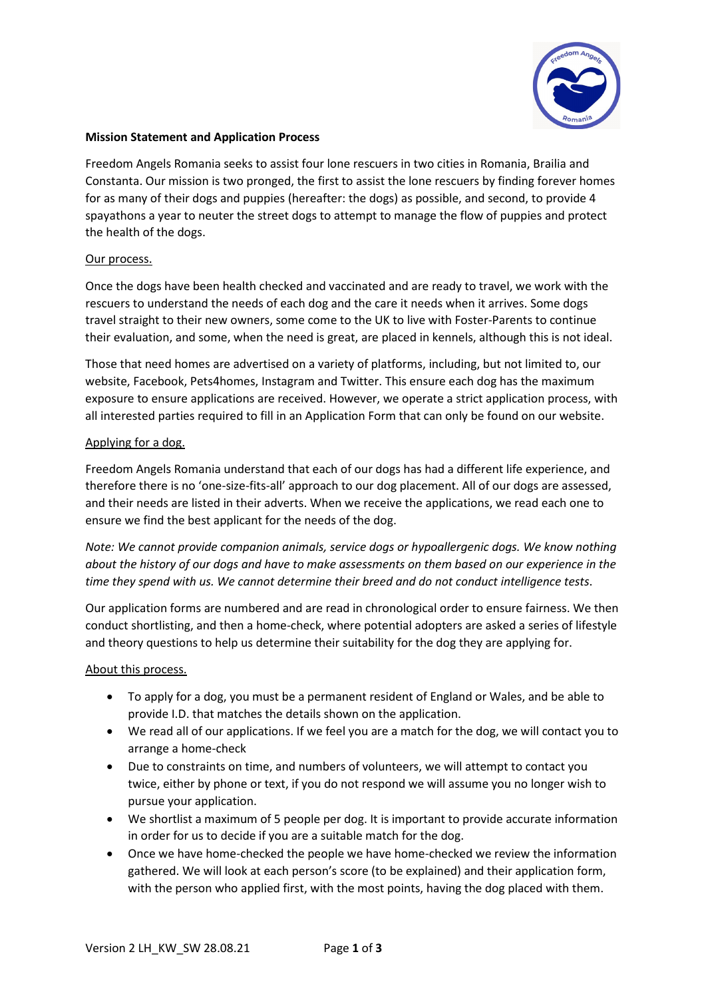

### **Mission Statement and Application Process**

Freedom Angels Romania seeks to assist four lone rescuers in two cities in Romania, Brailia and Constanta. Our mission is two pronged, the first to assist the lone rescuers by finding forever homes for as many of their dogs and puppies (hereafter: the dogs) as possible, and second, to provide 4 spayathons a year to neuter the street dogs to attempt to manage the flow of puppies and protect the health of the dogs.

## Our process.

Once the dogs have been health checked and vaccinated and are ready to travel, we work with the rescuers to understand the needs of each dog and the care it needs when it arrives. Some dogs travel straight to their new owners, some come to the UK to live with Foster-Parents to continue their evaluation, and some, when the need is great, are placed in kennels, although this is not ideal.

Those that need homes are advertised on a variety of platforms, including, but not limited to, our website, Facebook, Pets4homes, Instagram and Twitter. This ensure each dog has the maximum exposure to ensure applications are received. However, we operate a strict application process, with all interested parties required to fill in an Application Form that can only be found on our website.

## Applying for a dog.

Freedom Angels Romania understand that each of our dogs has had a different life experience, and therefore there is no 'one-size-fits-all' approach to our dog placement. All of our dogs are assessed, and their needs are listed in their adverts. When we receive the applications, we read each one to ensure we find the best applicant for the needs of the dog.

*Note: We cannot provide companion animals, service dogs or hypoallergenic dogs. We know nothing about the history of our dogs and have to make assessments on them based on our experience in the time they spend with us. We cannot determine their breed and do not conduct intelligence tests*.

Our application forms are numbered and are read in chronological order to ensure fairness. We then conduct shortlisting, and then a home-check, where potential adopters are asked a series of lifestyle and theory questions to help us determine their suitability for the dog they are applying for.

#### About this process.

- To apply for a dog, you must be a permanent resident of England or Wales, and be able to provide I.D. that matches the details shown on the application.
- We read all of our applications. If we feel you are a match for the dog, we will contact you to arrange a home-check
- Due to constraints on time, and numbers of volunteers, we will attempt to contact you twice, either by phone or text, if you do not respond we will assume you no longer wish to pursue your application.
- We shortlist a maximum of 5 people per dog. It is important to provide accurate information in order for us to decide if you are a suitable match for the dog.
- Once we have home-checked the people we have home-checked we review the information gathered. We will look at each person's score (to be explained) and their application form, with the person who applied first, with the most points, having the dog placed with them.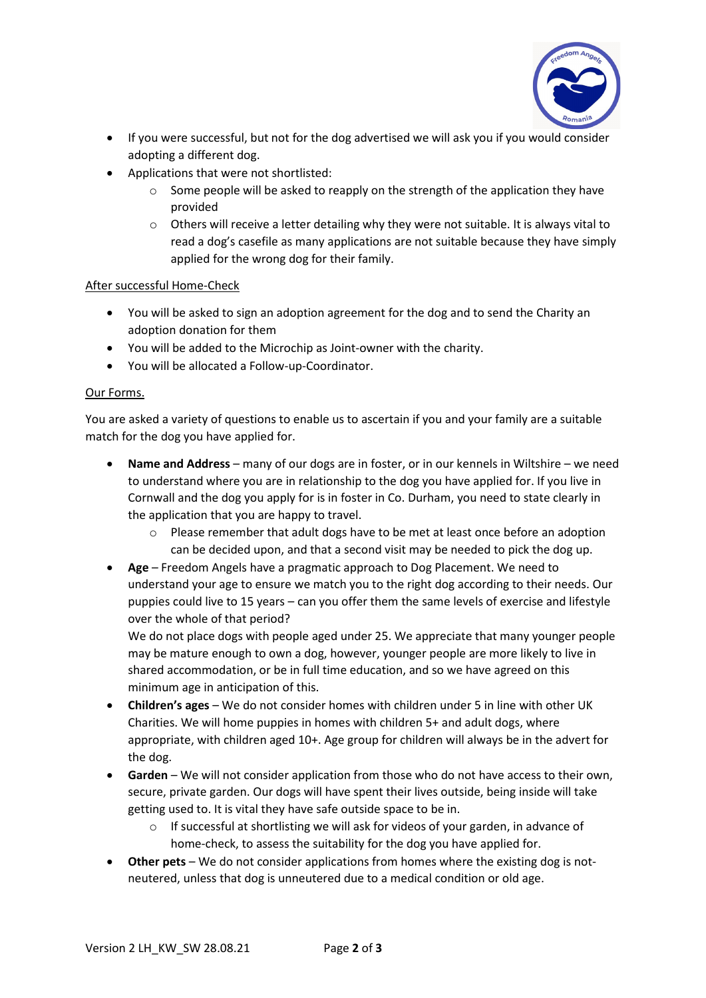

- If you were successful, but not for the dog advertised we will ask you if you would consider adopting a different dog.
- Applications that were not shortlisted:
	- $\circ$  Some people will be asked to reapply on the strength of the application they have provided
	- $\circ$  Others will receive a letter detailing why they were not suitable. It is always vital to read a dog's casefile as many applications are not suitable because they have simply applied for the wrong dog for their family.

## After successful Home-Check

- You will be asked to sign an adoption agreement for the dog and to send the Charity an adoption donation for them
- You will be added to the Microchip as Joint-owner with the charity.
- You will be allocated a Follow-up-Coordinator.

# Our Forms.

You are asked a variety of questions to enable us to ascertain if you and your family are a suitable match for the dog you have applied for.

- **Name and Address** many of our dogs are in foster, or in our kennels in Wiltshire we need to understand where you are in relationship to the dog you have applied for. If you live in Cornwall and the dog you apply for is in foster in Co. Durham, you need to state clearly in the application that you are happy to travel.
	- o Please remember that adult dogs have to be met at least once before an adoption can be decided upon, and that a second visit may be needed to pick the dog up.
- **Age** Freedom Angels have a pragmatic approach to Dog Placement. We need to understand your age to ensure we match you to the right dog according to their needs. Our puppies could live to 15 years – can you offer them the same levels of exercise and lifestyle over the whole of that period?

We do not place dogs with people aged under 25. We appreciate that many younger people may be mature enough to own a dog, however, younger people are more likely to live in shared accommodation, or be in full time education, and so we have agreed on this minimum age in anticipation of this.

- **Children's ages** We do not consider homes with children under 5 in line with other UK Charities. We will home puppies in homes with children 5+ and adult dogs, where appropriate, with children aged 10+. Age group for children will always be in the advert for the dog.
- **Garden** We will not consider application from those who do not have access to their own, secure, private garden. Our dogs will have spent their lives outside, being inside will take getting used to. It is vital they have safe outside space to be in.
	- $\circ$  If successful at shortlisting we will ask for videos of your garden, in advance of home-check, to assess the suitability for the dog you have applied for.
- **Other pets** We do not consider applications from homes where the existing dog is notneutered, unless that dog is unneutered due to a medical condition or old age.